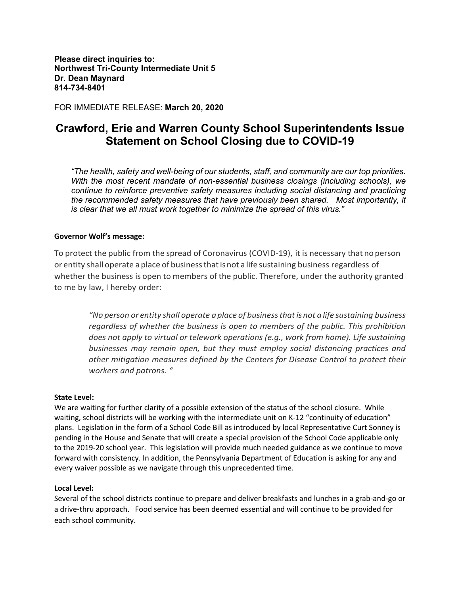**Please direct inquiries to: Northwest Tri-County Intermediate Unit 5 Dr. Dean Maynard 814-734-8401**

FOR IMMEDIATE RELEASE: **March 20, 2020**

# **Crawford, Erie and Warren County School Superintendents Issue Statement on School Closing due to COVID-19**

*"The health, safety and well-being of our students, staff, and community are our top priorities. With the most recent mandate of non-essential business closings (including schools), we continue to reinforce preventive safety measures including social distancing and practicing the recommended safety measures that have previously been shared. Most importantly, it is clear that we all must work together to minimize the spread of this virus."*

## **Governor Wolf's message:**

To protect the public from the spread of Coronavirus (COVID-19), it is necessary that no person or entity shall operate a place of businessthatisnot a life sustaining business regardless of whether the business is open to members of the public. Therefore, under the authority granted to me by law, I hereby order:

*"No person or entity shall operate a place of businessthatis not a life sustaining business regardless of whether the business is open to members of the public. This prohibition does not apply to virtual or telework operations (e.g., work from home). Life sustaining businesses may remain open, but they must employ social distancing practices and other mitigation measures defined by the Centers for Disease Control to protect their workers and patrons. "*

## **State Level:**

We are waiting for further clarity of a possible extension of the status of the school closure. While waiting, school districts will be working with the intermediate unit on K-12 "continuity of education" plans. Legislation in the form of a School Code Bill as introduced by local Representative Curt Sonney is pending in the House and Senate that will create a special provision of the School Code applicable only to the 2019-20 school year. This legislation will provide much needed guidance as we continue to move forward with consistency. In addition, the Pennsylvania Department of Education is asking for any and every waiver possible as we navigate through this unprecedented time.

## **Local Level:**

Several of the school districts continue to prepare and deliver breakfasts and lunches in a grab-and-go or a drive-thru approach. Food service has been deemed essential and will continue to be provided for each school community.